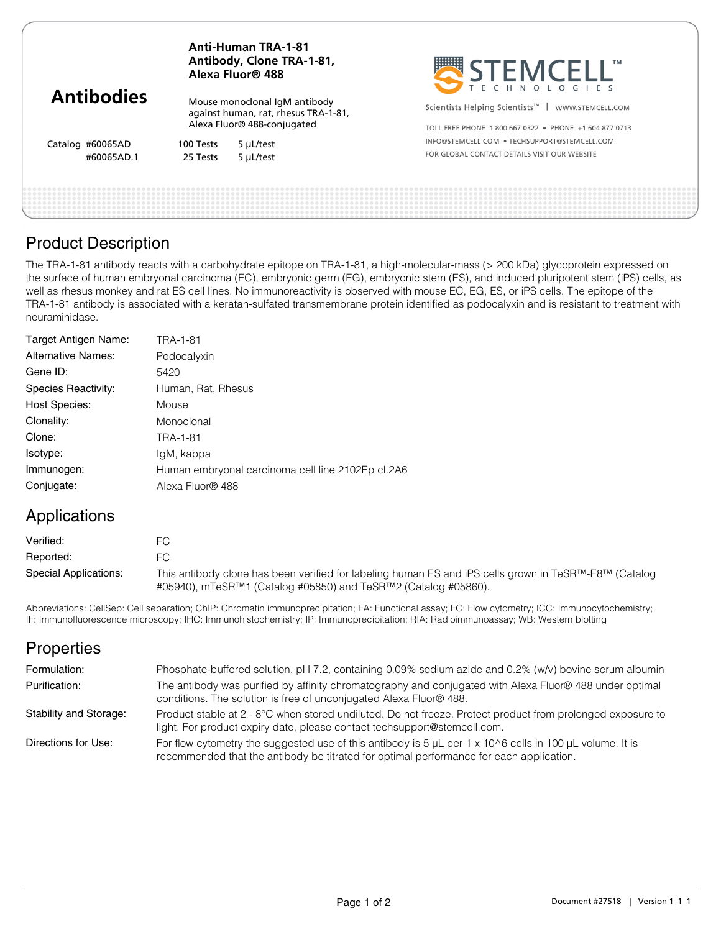|                                | <b>Anti-Human TRA-1-81</b><br>Antibody, Clone TRA-1-81,<br>Alexa Fluor® 488 |                                                                                                      | SEEMCELL"                                                                                                              |  |
|--------------------------------|-----------------------------------------------------------------------------|------------------------------------------------------------------------------------------------------|------------------------------------------------------------------------------------------------------------------------|--|
| <b>Antibodies</b>              |                                                                             | Mouse monoclonal IqM antibody<br>against human, rat, rhesus TRA-1-81,<br>Alexa Fluor® 488-conjugated | Scientists Helping Scientists <sup>™</sup>   WWW.STEMCELL.COM<br>TOLL FREE PHONE 1800 667 0322 . PHONE +1 604 877 0713 |  |
| Catalog #60065AD<br>#60065AD.1 | 100 Tests<br>25 Tests                                                       | 5 µL/test<br>5 µL/test                                                                               | INFO@STEMCELL.COM . TECHSUPPORT@STEMCELL.COM<br>FOR GLOBAL CONTACT DETAILS VISIT OUR WEBSITE                           |  |
|                                |                                                                             |                                                                                                      |                                                                                                                        |  |

## Product Description

The TRA-1-81 antibody reacts with a carbohydrate epitope on TRA-1-81, a high-molecular-mass (> 200 kDa) glycoprotein expressed on the surface of human embryonal carcinoma (EC), embryonic germ (EG), embryonic stem (ES), and induced pluripotent stem (iPS) cells, as well as rhesus monkey and rat ES cell lines. No immunoreactivity is observed with mouse EC, EG, ES, or iPS cells. The epitope of the TRA-1-81 antibody is associated with a keratan-sulfated transmembrane protein identified as podocalyxin and is resistant to treatment with neuraminidase.

| Target Antigen Name:      | TRA-1-81                                          |
|---------------------------|---------------------------------------------------|
| <b>Alternative Names:</b> | Podocalyxin                                       |
| Gene ID:                  | 5420                                              |
| Species Reactivity:       | Human, Rat, Rhesus                                |
| <b>Host Species:</b>      | Mouse                                             |
| Clonality:                | Monoclonal                                        |
| Clone:                    | TRA-1-81                                          |
| Isotype:                  | lgM, kappa                                        |
| Immunogen:                | Human embryonal carcinoma cell line 2102Ep cl.2A6 |
| Conjugate:                | Alexa Fluor® 488                                  |

## Applications

| Verified:             | FС                                                                                                                                                                                                 |
|-----------------------|----------------------------------------------------------------------------------------------------------------------------------------------------------------------------------------------------|
| Reported:             | FC.                                                                                                                                                                                                |
| Special Applications: | This antibody clone has been verified for labeling human ES and iPS cells grown in TeSR <sup>TM</sup> -E8 <sup>TM</sup> (Catalog<br>#05940), mTeSR™1 (Catalog #05850) and TeSR™2 (Catalog #05860). |

Abbreviations: CellSep: Cell separation; ChIP: Chromatin immunoprecipitation; FA: Functional assay; FC: Flow cytometry; ICC: Immunocytochemistry; IF: Immunofluorescence microscopy; IHC: Immunohistochemistry; IP: Immunoprecipitation; RIA: Radioimmunoassay; WB: Western blotting

# **Properties**

| Formulation:           | Phosphate-buffered solution, pH 7.2, containing 0.09% sodium azide and 0.2% (w/v) bovine serum albumin                                                                                                                      |
|------------------------|-----------------------------------------------------------------------------------------------------------------------------------------------------------------------------------------------------------------------------|
| Purification:          | The antibody was purified by affinity chromatography and conjugated with Alexa Fluor® 488 under optimal<br>conditions. The solution is free of unconjugated Alexa Fluor® 488.                                               |
| Stability and Storage: | Product stable at 2 - 8°C when stored undiluted. Do not freeze. Protect product from prolonged exposure to<br>light. For product expiry date, please contact techsupport@stemcell.com.                                      |
| Directions for Use:    | For flow cytometry the suggested use of this antibody is 5 $\mu$ L per 1 x 10 $\textdegree$ 6 cells in 100 $\mu$ L volume. It is<br>recommended that the antibody be titrated for optimal performance for each application. |